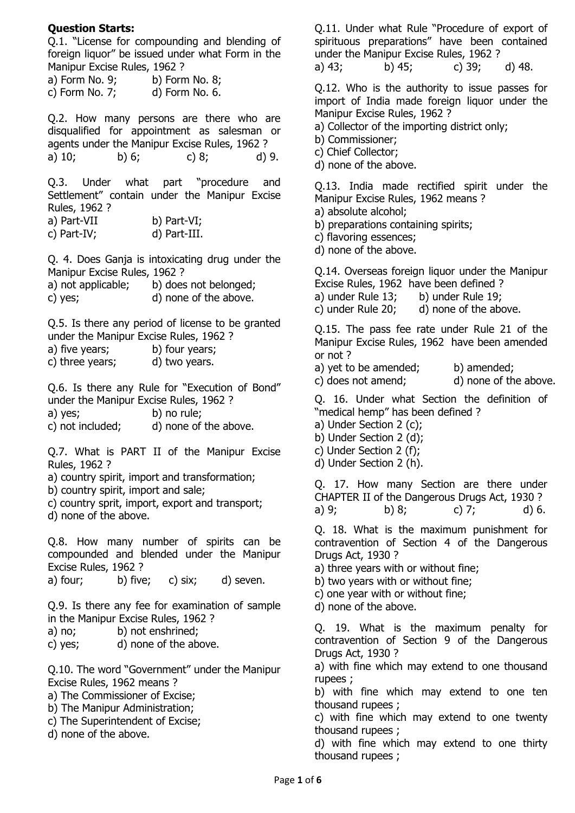## **Question Starts:**

Q.1. "License for compounding and blending of foreign liquor" be issued under what Form in the Manipur Excise Rules, 1962 ?

| a) Form No. 9;    | b) Form No. 8; |
|-------------------|----------------|
| c) Form No. $7$ ; | d) Form No. 6. |

Q.2. How many persons are there who are disqualified for appointment as salesman or agents under the Manipur Excise Rules, 1962 ? a) 10; b) 6; c) 8; d) 9.

Q.3. Under what part "procedure and Settlement" contain under the Manipur Excise Rules, 1962 ?

| a) Part-VII | b) Part-VI;  |
|-------------|--------------|
| c) Part-IV; | d) Part-III. |

Q. 4. Does Ganja is intoxicating drug under the Manipur Excise Rules, 1962 ?

| a) not applicable; | b) does not belonged; |
|--------------------|-----------------------|
| c) yes;            | d) none of the above. |

Q.5. Is there any period of license to be granted under the Manipur Excise Rules, 1962 ?

| a) five years;  | b) four years; |
|-----------------|----------------|
| c) three years; | d) two years.  |

Q.6. Is there any Rule for "Execution of Bond" under the Manipur Excise Rules, 1962 ?

a) yes; b) no rule;

c) not included; d) none of the above.

Q.7. What is PART II of the Manipur Excise Rules, 1962 ?

a) country spirit, import and transformation;

b) country spirit, import and sale;

c) country sprit, import, export and transport; d) none of the above.

Q.8. How many number of spirits can be compounded and blended under the Manipur Excise Rules, 1962 ?

a) four; b) five; c) six; d) seven.

Q.9. Is there any fee for examination of sample in the Manipur Excise Rules, 1962 ?

- a) no; b) not enshrined;
- c) yes; d) none of the above.

Q.10. The word "Government" under the Manipur Excise Rules, 1962 means ?

- a) The Commissioner of Excise;
- b) The Manipur Administration;
- c) The Superintendent of Excise;
- d) none of the above.

Q.11. Under what Rule "Procedure of export of spirituous preparations" have been contained under the Manipur Excise Rules, 1962 ?

a) 43; b) 45; c) 39; d) 48.

Q.12. Who is the authority to issue passes for import of India made foreign liquor under the Manipur Excise Rules, 1962 ?

a) Collector of the importing district only;

- b) Commissioner;
- c) Chief Collector;
- d) none of the above.

Q.13. India made rectified spirit under the Manipur Excise Rules, 1962 means ?

- a) absolute alcohol;
- b) preparations containing spirits;
- c) flavoring essences;
- d) none of the above.

Q.14. Overseas foreign liquor under the Manipur Excise Rules, 1962 have been defined ?

a) under Rule 13; b) under Rule 19;

c) under Rule 20; d) none of the above.

Q.15. The pass fee rate under Rule 21 of the Manipur Excise Rules, 1962 have been amended or not ?

- a) yet to be amended; b) amended;
- c) does not amend; d) none of the above.

Q. 16. Under what Section the definition of "medical hemp" has been defined ?

- a) Under Section 2 (c);
- b) Under Section 2 (d);
- c) Under Section 2 (f);
- d) Under Section 2 (h).

Q. 17. How many Section are there under CHAPTER II of the Dangerous Drugs Act, 1930 ? a) 9; b) 8; c) 7; d) 6.

Q. 18. What is the maximum punishment for contravention of Section 4 of the Dangerous Drugs Act, 1930 ?

a) three years with or without fine;

- b) two years with or without fine;
- c) one year with or without fine;

d) none of the above.

Q. 19. What is the maximum penalty for contravention of Section 9 of the Dangerous Drugs Act, 1930 ?

a) with fine which may extend to one thousand rupees ;

b) with fine which may extend to one ten thousand rupees ;

c) with fine which may extend to one twenty thousand rupees ;

d) with fine which may extend to one thirty thousand rupees ;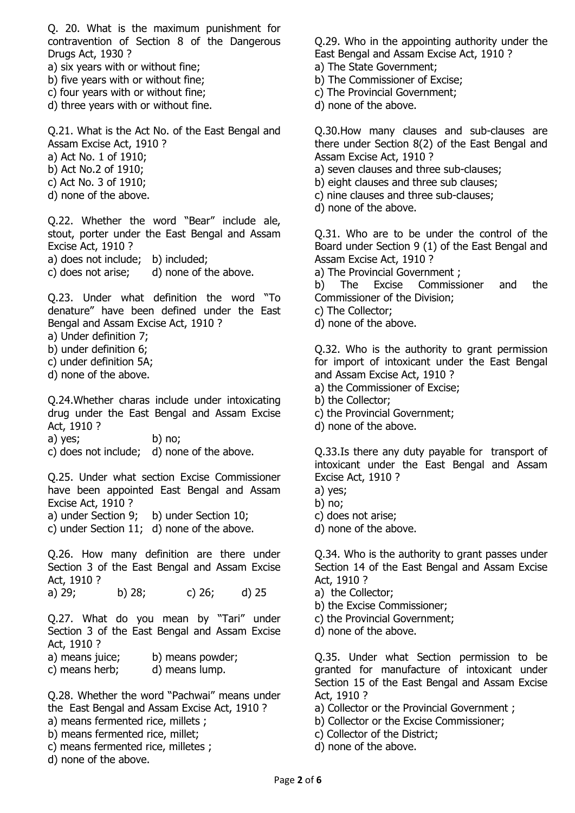Q. 20. What is the maximum punishment for contravention of Section 8 of the Dangerous Drugs Act, 1930 ?

- a) six years with or without fine;
- b) five years with or without fine;
- c) four years with or without fine;
- d) three years with or without fine.

Q.21. What is the Act No. of the East Bengal and Assam Excise Act, 1910 ?

- a) Act No. 1 of 1910;
- b) Act No.2 of 1910;
- c) Act No. 3 of 1910;
- d) none of the above.

Q.22. Whether the word "Bear" include ale, stout, porter under the East Bengal and Assam Excise Act, 1910 ? a) does not include; b) included;

c) does not arise; d) none of the above.

Q.23. Under what definition the word "To denature" have been defined under the East Bengal and Assam Excise Act, 1910 ?

- a) Under definition 7;
- b) under definition 6;
- c) under definition 5A;
- d) none of the above.

Q.24.Whether charas include under intoxicating drug under the East Bengal and Assam Excise Act, 1910 ?

a) yes; b) no;

c) does not include; d) none of the above.

Q.25. Under what section Excise Commissioner have been appointed East Bengal and Assam Excise Act, 1910 ?

a) under Section 9; b) under Section 10;

c) under Section 11; d) none of the above.

Q.26. How many definition are there under Section 3 of the East Bengal and Assam Excise Act, 1910 ?

a) 29; b) 28; c) 26; d) 25

Q.27. What do you mean by "Tari" under Section 3 of the East Bengal and Assam Excise Act, 1910 ?

- a) means juice; b) means powder;
- c) means herb; d) means lump.

Q.28. Whether the word "Pachwai" means under the East Bengal and Assam Excise Act, 1910 ? a) means fermented rice, millets ; b) means fermented rice, millet;

- 
- c) means fermented rice, milletes ;

d) none of the above.

Q.29. Who in the appointing authority under the East Bengal and Assam Excise Act, 1910 ?

- a) The State Government;
- b) The Commissioner of Excise;
- c) The Provincial Government;
- d) none of the above.

Q.30.How many clauses and sub-clauses are there under Section 8(2) of the East Bengal and Assam Excise Act, 1910 ?

- a) seven clauses and three sub-clauses;
- b) eight clauses and three sub clauses;
- c) nine clauses and three sub-clauses;
- d) none of the above.

Q.31. Who are to be under the control of the Board under Section 9 (1) of the East Bengal and Assam Excise Act, 1910 ?

a) The Provincial Government ;

b) The Excise Commissioner and the Commissioner of the Division;

- c) The Collector;
- d) none of the above.

Q.32. Who is the authority to grant permission for import of intoxicant under the East Bengal and Assam Excise Act, 1910 ?

- a) the Commissioner of Excise;
- b) the Collector;
- c) the Provincial Government;
- d) none of the above.

Q.33.Is there any duty payable for transport of intoxicant under the East Bengal and Assam Excise Act, 1910 ?

- a) yes;
- b) no;
- c) does not arise;
- d) none of the above.

Q.34. Who is the authority to grant passes under Section 14 of the East Bengal and Assam Excise Act, 1910 ?

- a) the Collector;
- b) the Excise Commissioner;
- c) the Provincial Government;
- d) none of the above.

Q.35. Under what Section permission to be granted for manufacture of intoxicant under Section 15 of the East Bengal and Assam Excise Act, 1910 ?

a) Collector or the Provincial Government ;

- b) Collector or the Excise Commissioner;
- c) Collector of the District;
- d) none of the above.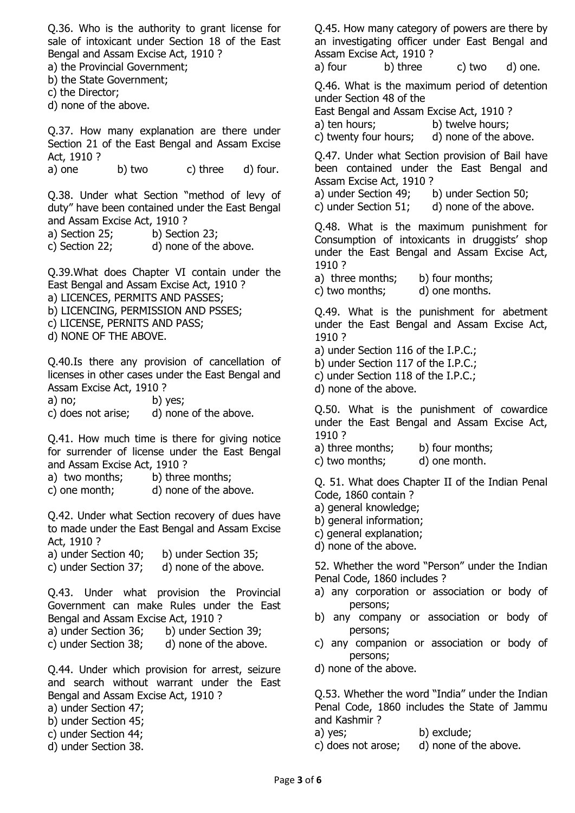Q.36. Who is the authority to grant license for sale of intoxicant under Section 18 of the East Bengal and Assam Excise Act, 1910 ?

- a) the Provincial Government;
- b) the State Government;
- c) the Director;
- d) none of the above.

Q.37. How many explanation are there under Section 21 of the East Bengal and Assam Excise Act, 1910 ?

a) one b) two c) three d) four.

Q.38. Under what Section "method of levy of duty" have been contained under the East Bengal and Assam Excise Act, 1910 ?

a) Section 25; b) Section 23;

c) Section 22; d) none of the above.

Q.39.What does Chapter VI contain under the East Bengal and Assam Excise Act, 1910 ? a) LICENCES, PERMITS AND PASSES; b) LICENCING, PERMISSION AND PSSES; c) LICENSE, PERNITS AND PASS;

d) NONE OF THE ABOVE.

Q.40.Is there any provision of cancellation of licenses in other cases under the East Bengal and Assam Excise Act, 1910 ?

a) no; b) yes;

c) does not arise; d) none of the above.

Q.41. How much time is there for giving notice for surrender of license under the East Bengal and Assam Excise Act, 1910 ?

a) two months; b) three months;

c) one month; d) none of the above.

Q.42. Under what Section recovery of dues have to made under the East Bengal and Assam Excise Act, 1910 ?

- a) under Section 40; b) under Section 35;
- c) under Section 37; d) none of the above.

Q.43. Under what provision the Provincial Government can make Rules under the East Bengal and Assam Excise Act, 1910 ?

- a) under Section 36; b) under Section 39;
- c) under Section 38; d) none of the above.

Q.44. Under which provision for arrest, seizure and search without warrant under the East Bengal and Assam Excise Act, 1910 ?

- a) under Section 47;
- b) under Section 45;
- c) under Section 44;
- d) under Section 38.

Q.45. How many category of powers are there by an investigating officer under East Bengal and Assam Excise Act, 1910 ?

a) four b) three c) two d) one.

Q.46. What is the maximum period of detention under Section 48 of the

East Bengal and Assam Excise Act, 1910 ?

a) ten hours; b) twelve hours;

c) twenty four hours; d) none of the above.

Q.47. Under what Section provision of Bail have been contained under the East Bengal and Assam Excise Act, 1910 ?

a) under Section 49; b) under Section 50;

c) under Section  $51$ ; d) none of the above.

Q.48. What is the maximum punishment for Consumption of intoxicants in druggists' shop under the East Bengal and Assam Excise Act, 1910 ?

a) three months; b) four months;

c) two months; d) one months.

Q.49. What is the punishment for abetment under the East Bengal and Assam Excise Act, 1910 ?

- a) under Section 116 of the I.P.C.;
- b) under Section 117 of the I.P.C.;
- c) under Section 118 of the I.P.C.;

d) none of the above.

Q.50. What is the punishment of cowardice under the East Bengal and Assam Excise Act, 1910 ?

a) three months; b) four months;

c) two months; d) one month.

Q. 51. What does Chapter II of the Indian Penal Code, 1860 contain ?

- a) general knowledge;
- b) general information;
- c) general explanation;
- d) none of the above.

52. Whether the word "Person" under the Indian Penal Code, 1860 includes ?

- a) any corporation or association or body of persons;
- b) any company or association or body of persons;
- c) any companion or association or body of persons;
- d) none of the above.

Q.53. Whether the word "India" under the Indian Penal Code, 1860 includes the State of Jammu and Kashmir ?

- a) yes; b) exclude;
- c) does not arose; d) none of the above.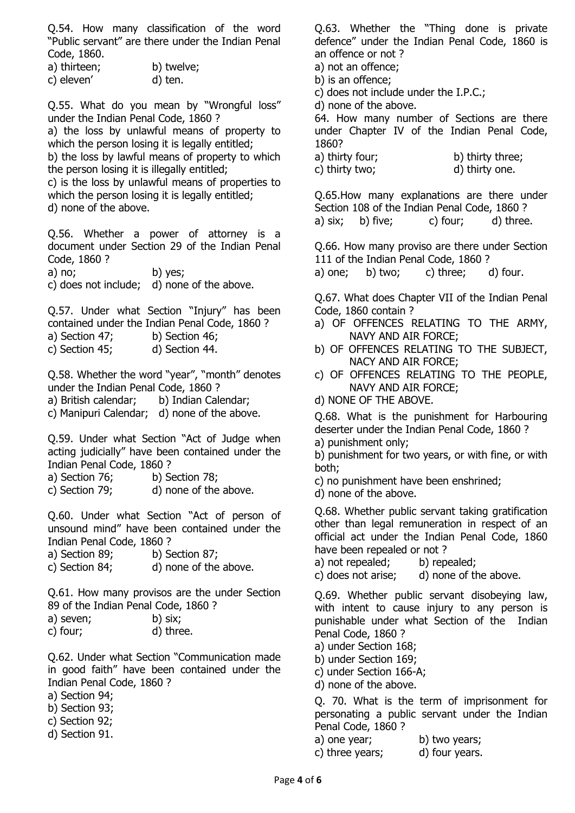Q.54. How many classification of the word "Public servant" are there under the Indian Penal Code, 1860.

- a) thirteen; b) twelve;
- c) eleven' d) ten.

Q.55. What do you mean by "Wrongful loss" under the Indian Penal Code, 1860 ?

a) the loss by unlawful means of property to which the person losing it is legally entitled:

b) the loss by lawful means of property to which the person losing it is illegally entitled;

c) is the loss by unlawful means of properties to which the person losing it is legally entitled; d) none of the above.

Q.56. Whether a power of attorney is a document under Section 29 of the Indian Penal Code, 1860 ?

a) no; b) yes;

c) does not include; d) none of the above.

Q.57. Under what Section "Injury" has been contained under the Indian Penal Code, 1860 ?

- a) Section 47; b) Section 46;
- c) Section 45; d) Section 44.

Q.58. Whether the word "year", "month" denotes under the Indian Penal Code, 1860 ?

a) British calendar; b) Indian Calendar;

c) Manipuri Calendar; d) none of the above.

Q.59. Under what Section "Act of Judge when acting judicially" have been contained under the Indian Penal Code, 1860 ?

a) Section 76; b) Section 78;

c) Section 79; d) none of the above.

Q.60. Under what Section "Act of person of unsound mind" have been contained under the Indian Penal Code, 1860 ?

- a) Section 89; b) Section 87;
- c) Section 84; d) none of the above.

Q.61. How many provisos are the under Section 89 of the Indian Penal Code, 1860 ?

|           |  |  | -------- |  |
|-----------|--|--|----------|--|
| a) seven; |  |  | b) six;  |  |
|           |  |  |          |  |

| c) four; | d) three. |
|----------|-----------|
|          |           |

Q.62. Under what Section "Communication made in good faith" have been contained under the Indian Penal Code, 1860 ?

a) Section 94;

- b) Section 93;
- c) Section 92;
- d) Section 91.

Q.63. Whether the "Thing done is private defence" under the Indian Penal Code, 1860 is an offence or not ?

a) not an offence;

- b) is an offence;
- c) does not include under the I.P.C.;

d) none of the above.

64. How many number of Sections are there under Chapter IV of the Indian Penal Code, 1860?

a) thirty four: b) thirty three: c) thirty two; d) thirty one.

Q.65.How many explanations are there under Section 108 of the Indian Penal Code, 1860 ? a) six; b) five; c) four; d) three.

Q.66. How many proviso are there under Section 111 of the Indian Penal Code, 1860 ? a) one; b) two; c) three; d) four.

Q.67. What does Chapter VII of the Indian Penal

- Code, 1860 contain ?
- a) OF OFFENCES RELATING TO THE ARMY, NAVY AND AIR FORCE;
- b) OF OFFENCES RELATING TO THE SUBJECT, NACY AND AIR FORCE;
- c) OF OFFENCES RELATING TO THE PEOPLE, NAVY AND AIR FORCE;
- d) NONE OF THE ABOVE.

Q.68. What is the punishment for Harbouring deserter under the Indian Penal Code, 1860 ?

a) punishment only;

b) punishment for two years, or with fine, or with both;

c) no punishment have been enshrined;

d) none of the above.

Q.68. Whether public servant taking gratification other than legal remuneration in respect of an official act under the Indian Penal Code, 1860 have been repealed or not ?

a) not repealed; b) repealed;

c) does not arise; d) none of the above.

Q.69. Whether public servant disobeying law, with intent to cause injury to any person is punishable under what Section of the Indian Penal Code, 1860 ?

a) under Section 168;

- b) under Section 169;
- c) under Section 166-A;

d) none of the above.

Q. 70. What is the term of imprisonment for personating a public servant under the Indian Penal Code, 1860 ?

a) one year; b) two years;

c) three years; d) four years.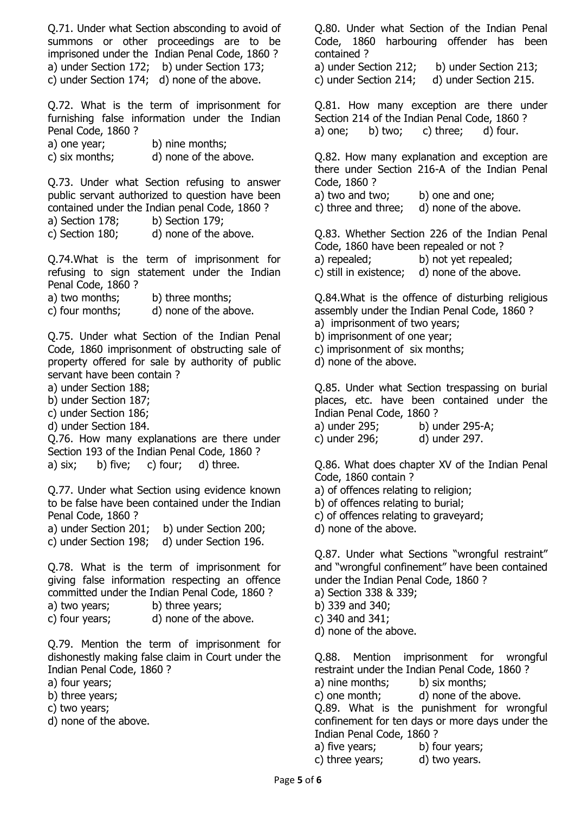Q.71. Under what Section absconding to avoid of summons or other proceedings are to be imprisoned under the Indian Penal Code, 1860 ? a) under Section 172; b) under Section 173; c) under Section 174; d) none of the above.

Q.72. What is the term of imprisonment for furnishing false information under the Indian Penal Code, 1860 ?

| a) one year;   | b) nine months;       |
|----------------|-----------------------|
| c) six months; | d) none of the above. |

Q.73. Under what Section refusing to answer public servant authorized to question have been contained under the Indian penal Code, 1860 ?

a) Section 178; b) Section 179;

c) Section 180; d) none of the above.

Q.74.What is the term of imprisonment for refusing to sign statement under the Indian Penal Code, 1860 ?

a) two months; b) three months;

c) four months; d) none of the above.

Q.75. Under what Section of the Indian Penal Code, 1860 imprisonment of obstructing sale of property offered for sale by authority of public servant have been contain ?

a) under Section 188;

- b) under Section 187;
- c) under Section 186;
- d) under Section 184.

Q.76. How many explanations are there under Section 193 of the Indian Penal Code, 1860 ? a)  $six$ ; b) five; c) four; d) three.

Q.77. Under what Section using evidence known to be false have been contained under the Indian Penal Code, 1860 ?

a) under Section 201; b) under Section 200;

c) under Section 198; d) under Section 196.

Q.78. What is the term of imprisonment for giving false information respecting an offence committed under the Indian Penal Code, 1860 ?

a) two years; b) three years;

c) four years; d) none of the above.

Q.79. Mention the term of imprisonment for dishonestly making false claim in Court under the Indian Penal Code, 1860 ?

a) four years;

- b) three years;
- c) two years;
- d) none of the above.

Q.80. Under what Section of the Indian Penal Code, 1860 harbouring offender has been contained ?

a) under Section 212; b) under Section 213; c) under Section 214; d) under Section 215.

Q.81. How many exception are there under Section 214 of the Indian Penal Code, 1860 ? a) one; b) two; c) three; d) four.

Q.82. How many explanation and exception are there under Section 216-A of the Indian Penal Code, 1860 ? a) two and two; b) one and one;

c) three and three; d) none of the above.

Q.83. Whether Section 226 of the Indian Penal Code, 1860 have been repealed or not ? a) repealed; b) not yet repealed; c) still in existence; d) none of the above.

Q.84.What is the offence of disturbing religious assembly under the Indian Penal Code, 1860 ?

- a) imprisonment of two years;
- b) imprisonment of one year;
- c) imprisonment of six months;
- d) none of the above.

Q.85. Under what Section trespassing on burial places, etc. have been contained under the Indian Penal Code, 1860 ?

a) under 295; b) under 295-A;

c) under 296; d) under 297.

Q.86. What does chapter XV of the Indian Penal Code, 1860 contain ?

- a) of offences relating to religion;
- b) of offences relating to burial;
- c) of offences relating to graveyard;
- d) none of the above.

Q.87. Under what Sections "wrongful restraint" and "wrongful confinement" have been contained under the Indian Penal Code, 1860 ?

- a) Section 338 & 339;
- b) 339 and 340;

c) 340 and 341;

d) none of the above.

Q.88. Mention imprisonment for wrongful restraint under the Indian Penal Code, 1860 ? a) nine months; b) six months; c) one month; d) none of the above. Q.89. What is the punishment for wrongful confinement for ten days or more days under the Indian Penal Code, 1860 ?

- a) five years; b) four years;
- c) three years; d) two years.